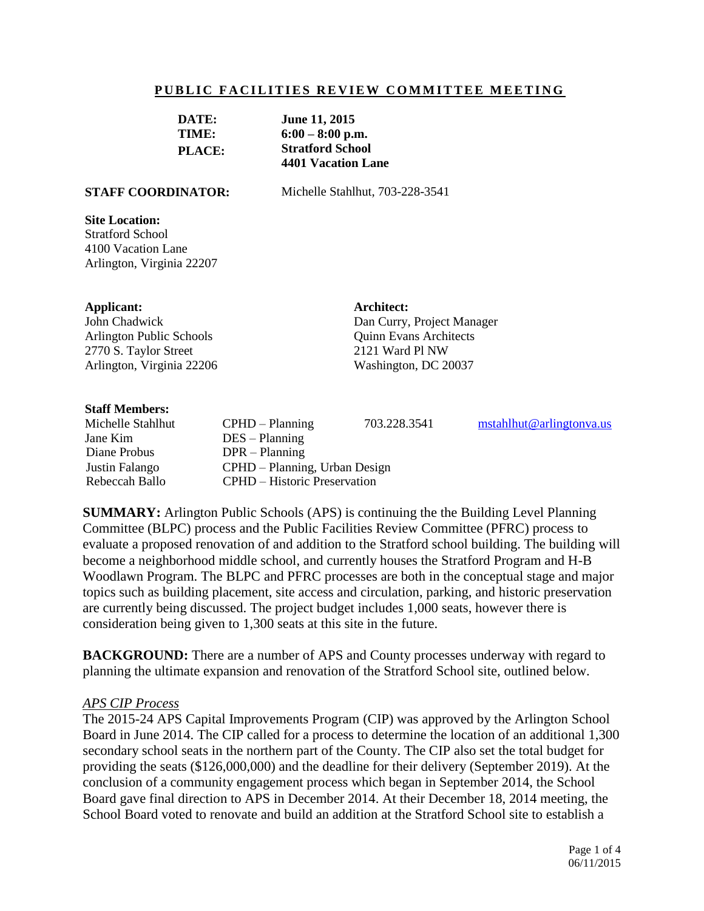#### **PUBLIC FACILITIES REVIEW COMMITTEE MEETING**

| DATE:         | <b>June 11, 2015</b>      |
|---------------|---------------------------|
| TIME:         | $6:00 - 8:00$ p.m.        |
| <b>PLACE:</b> | <b>Stratford School</b>   |
|               | <b>4401 Vacation Lane</b> |

**STAFF COORDINATOR:** Michelle Stahlhut, 703-228-3541

#### **Site Location:**

Stratford School 4100 Vacation Lane Arlington, Virginia 22207

#### **Applicant:**

John Chadwick Arlington Public Schools 2770 S. Taylor Street Arlington, Virginia 22206 **Architect:** Dan Curry, Project Manager Quinn Evans Architects 2121 Ward Pl NW Washington, DC 20037

#### **Staff Members:**

Jane Kim DES – Planning Diane Probus DPR – Planning

Michelle Stahlhut CPHD – Planning 703.228.3541 [mstahlhut@arlingtonva.us](mailto:mstahlhut@arlingtonva.us) Justin Falango CPHD – Planning, Urban Design Rebeccah Ballo CPHD – Historic Preservation

**SUMMARY:** Arlington Public Schools (APS) is continuing the the Building Level Planning Committee (BLPC) process and the Public Facilities Review Committee (PFRC) process to evaluate a proposed renovation of and addition to the Stratford school building. The building will become a neighborhood middle school, and currently houses the Stratford Program and H-B Woodlawn Program. The BLPC and PFRC processes are both in the conceptual stage and major topics such as building placement, site access and circulation, parking, and historic preservation are currently being discussed. The project budget includes 1,000 seats, however there is consideration being given to 1,300 seats at this site in the future.

**BACKGROUND:** There are a number of APS and County processes underway with regard to planning the ultimate expansion and renovation of the Stratford School site, outlined below.

#### *APS CIP Process*

The 2015-24 APS Capital Improvements Program (CIP) was approved by the Arlington School Board in June 2014. The CIP called for a process to determine the location of an additional 1,300 secondary school seats in the northern part of the County. The CIP also set the total budget for providing the seats (\$126,000,000) and the deadline for their delivery (September 2019). At the conclusion of a community engagement process which began in September 2014, the School Board gave final direction to APS in December 2014. At their December 18, 2014 meeting, the School Board voted to renovate and build an addition at the Stratford School site to establish a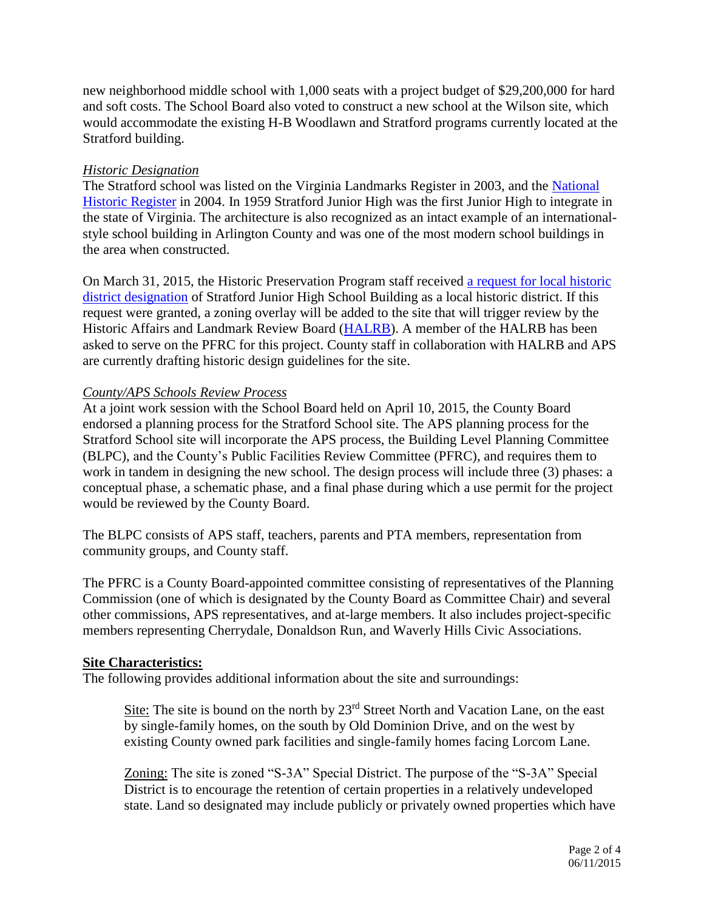new neighborhood middle school with 1,000 seats with a project budget of \$29,200,000 for hard and soft costs. The School Board also voted to construct a new school at the Wilson site, which would accommodate the existing H-B Woodlawn and Stratford programs currently located at the Stratford building.

# *Historic Designation*

The Stratford school was listed on the Virginia Landmarks Register in 2003, and the [National](http://arlingtonva.s3.amazonaws.com/wp-content/uploads/sites/5/2013/11/Stratford-Junior-High-School-National-Register-PDF.pdf)  [Historic Register](http://arlingtonva.s3.amazonaws.com/wp-content/uploads/sites/5/2013/11/Stratford-Junior-High-School-National-Register-PDF.pdf) in 2004. In 1959 Stratford Junior High was the first Junior High to integrate in the state of Virginia. The architecture is also recognized as an intact example of an internationalstyle school building in Arlington County and was one of the most modern school buildings in the area when constructed.

On March 31, 2015, the Historic Preservation Program staff received [a request for local historic](http://arlingtonva.s3.amazonaws.com/wp-content/uploads/sites/5/2013/11/Stratford-Designation-Study-Request-3-15.pdf)  [district designation](http://arlingtonva.s3.amazonaws.com/wp-content/uploads/sites/5/2013/11/Stratford-Designation-Study-Request-3-15.pdf) of Stratford Junior High School Building as a local historic district. If this request were granted, a zoning overlay will be added to the site that will trigger review by the Historic Affairs and Landmark Review Board [\(HALRB\)](http://commissions.arlingtonva.us/historical-affairs-landmark-review-board/). A member of the HALRB has been asked to serve on the PFRC for this project. County staff in collaboration with HALRB and APS are currently drafting historic design guidelines for the site.

# *County/APS Schools Review Process*

At a joint work session with the School Board held on April 10, 2015, the County Board endorsed a planning process for the Stratford School site. The APS planning process for the Stratford School site will incorporate the APS process, the Building Level Planning Committee (BLPC), and the County's Public Facilities Review Committee (PFRC), and requires them to work in tandem in designing the new school. The design process will include three (3) phases: a conceptual phase, a schematic phase, and a final phase during which a use permit for the project would be reviewed by the County Board.

The BLPC consists of APS staff, teachers, parents and PTA members, representation from community groups, and County staff.

The PFRC is a County Board-appointed committee consisting of representatives of the Planning Commission (one of which is designated by the County Board as Committee Chair) and several other commissions, APS representatives, and at-large members. It also includes project-specific members representing Cherrydale, Donaldson Run, and Waverly Hills Civic Associations.

## **Site Characteristics:**

The following provides additional information about the site and surroundings:

Site: The site is bound on the north by 23<sup>rd</sup> Street North and Vacation Lane, on the east by single-family homes, on the south by Old Dominion Drive, and on the west by existing County owned park facilities and single-family homes facing Lorcom Lane.

Zoning: The site is zoned "S-3A" Special District. The purpose of the "S-3A" Special District is to encourage the retention of certain properties in a relatively undeveloped state. Land so designated may include publicly or privately owned properties which have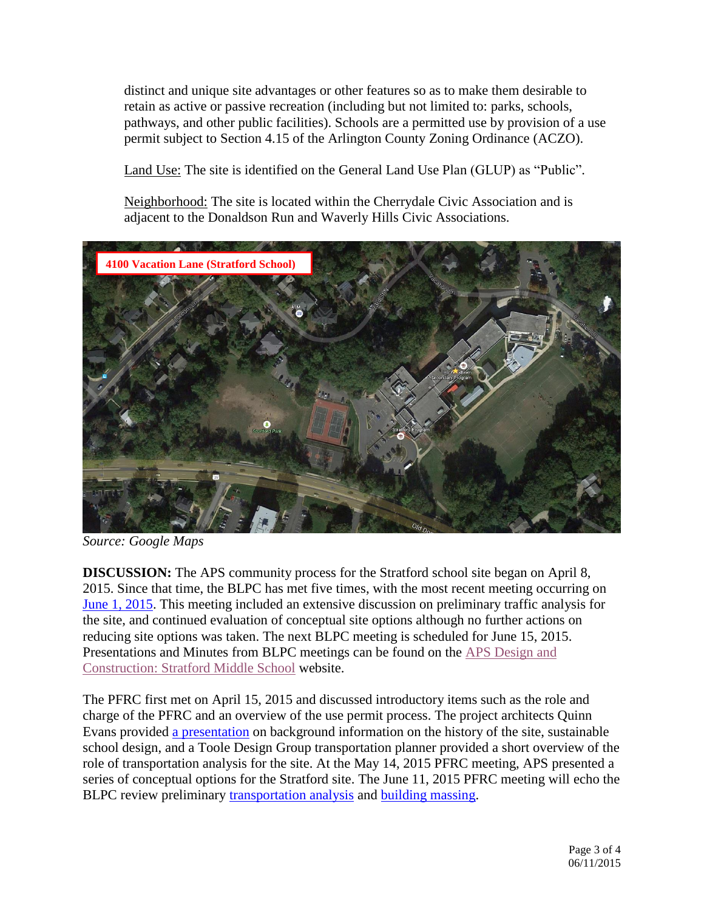distinct and unique site advantages or other features so as to make them desirable to retain as active or passive recreation (including but not limited to: parks, schools, pathways, and other public facilities). Schools are a permitted use by provision of a use permit subject to Section 4.15 of the Arlington County Zoning Ordinance (ACZO).

Land Use: The site is identified on the General Land Use Plan (GLUP) as "Public".

Neighborhood: The site is located within the Cherrydale Civic Association and is adjacent to the Donaldson Run and Waverly Hills Civic Associations.



*Source: Google Maps*

**DISCUSSION:** The APS community process for the Stratford school site began on April 8, 2015. Since that time, the BLPC has met five times, with the most recent meeting occurring on [June 1, 2015.](http://www.apsva.us/cms/lib2/VA01000586/Centricity/Domain/105/060115-BLPC%2005%20Stratford%20meeting%20notes.pdf) This meeting included an extensive discussion on preliminary traffic analysis for the site, and continued evaluation of conceptual site options although no further actions on reducing site options was taken. The next BLPC meeting is scheduled for June 15, 2015. Presentations and Minutes from BLPC meetings can be found on the [APS Design and](http://www.apsva.us/Page/29586)  [Construction: Stratford Middle School](http://www.apsva.us/Page/29586) website.

The PFRC first met on April 15, 2015 and discussed introductory items such as the role and charge of the PFRC and an overview of the use permit process. The project architects Quinn Evans provided [a presentation](http://www.apsva.us/cms/lib2/VA01000586/Centricity/Domain/105/041515%20PFRC%2001-Stratford%20QEA_presentation.pdf) on background information on the history of the site, sustainable school design, and a Toole Design Group transportation planner provided a short overview of the role of transportation analysis for the site. At the May 14, 2015 PFRC meeting, APS presented a series of conceptual options for the Stratford site. The June 11, 2015 PFRC meeting will echo the BLPC review preliminary [transportation analysis](http://www.apsva.us/cms/lib2/VA01000586/Centricity/Domain/105/060115%20BLPC%2005-Stratford_FINAL%20v3.pdf) and [building massing.](http://www.apsva.us/cms/lib2/VA01000586/Centricity/Domain/105/060215%20BLPC%2005-Stratford%20Presentation.pdf)